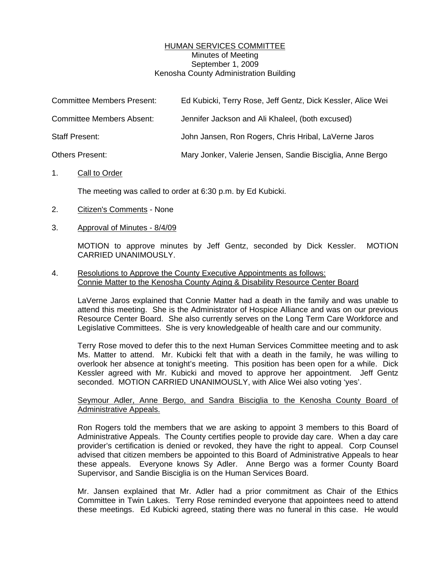## HUMAN SERVICES COMMITTEE Minutes of Meeting September 1, 2009 Kenosha County Administration Building

| <b>Committee Members Present:</b> | Ed Kubicki, Terry Rose, Jeff Gentz, Dick Kessler, Alice Wei |
|-----------------------------------|-------------------------------------------------------------|
| <b>Committee Members Absent:</b>  | Jennifer Jackson and Ali Khaleel, (both excused)            |
| Staff Present:                    | John Jansen, Ron Rogers, Chris Hribal, LaVerne Jaros        |
| Others Present:                   | Mary Jonker, Valerie Jensen, Sandie Bisciglia, Anne Bergo   |

## 1. Call to Order

The meeting was called to order at 6:30 p.m. by Ed Kubicki.

- 2. Citizen's Comments None
- 3. Approval of Minutes 8/4/09

 MOTION to approve minutes by Jeff Gentz, seconded by Dick Kessler. MOTION CARRIED UNANIMOUSLY.

## 4. Resolutions to Approve the County Executive Appointments as follows: Connie Matter to the Kenosha County Aging & Disability Resource Center Board

 LaVerne Jaros explained that Connie Matter had a death in the family and was unable to attend this meeting. She is the Administrator of Hospice Alliance and was on our previous Resource Center Board. She also currently serves on the Long Term Care Workforce and Legislative Committees. She is very knowledgeable of health care and our community.

 Terry Rose moved to defer this to the next Human Services Committee meeting and to ask Ms. Matter to attend. Mr. Kubicki felt that with a death in the family, he was willing to overlook her absence at tonight's meeting. This position has been open for a while. Dick Kessler agreed with Mr. Kubicki and moved to approve her appointment. Jeff Gentz seconded. MOTION CARRIED UNANIMOUSLY, with Alice Wei also voting 'yes'.

## Seymour Adler, Anne Bergo, and Sandra Bisciglia to the Kenosha County Board of Administrative Appeals.

 Ron Rogers told the members that we are asking to appoint 3 members to this Board of Administrative Appeals. The County certifies people to provide day care. When a day care provider's certification is denied or revoked, they have the right to appeal. Corp Counsel advised that citizen members be appointed to this Board of Administrative Appeals to hear these appeals. Everyone knows Sy Adler. Anne Bergo was a former County Board Supervisor, and Sandie Bisciglia is on the Human Services Board.

 Mr. Jansen explained that Mr. Adler had a prior commitment as Chair of the Ethics Committee in Twin Lakes. Terry Rose reminded everyone that appointees need to attend these meetings. Ed Kubicki agreed, stating there was no funeral in this case. He would